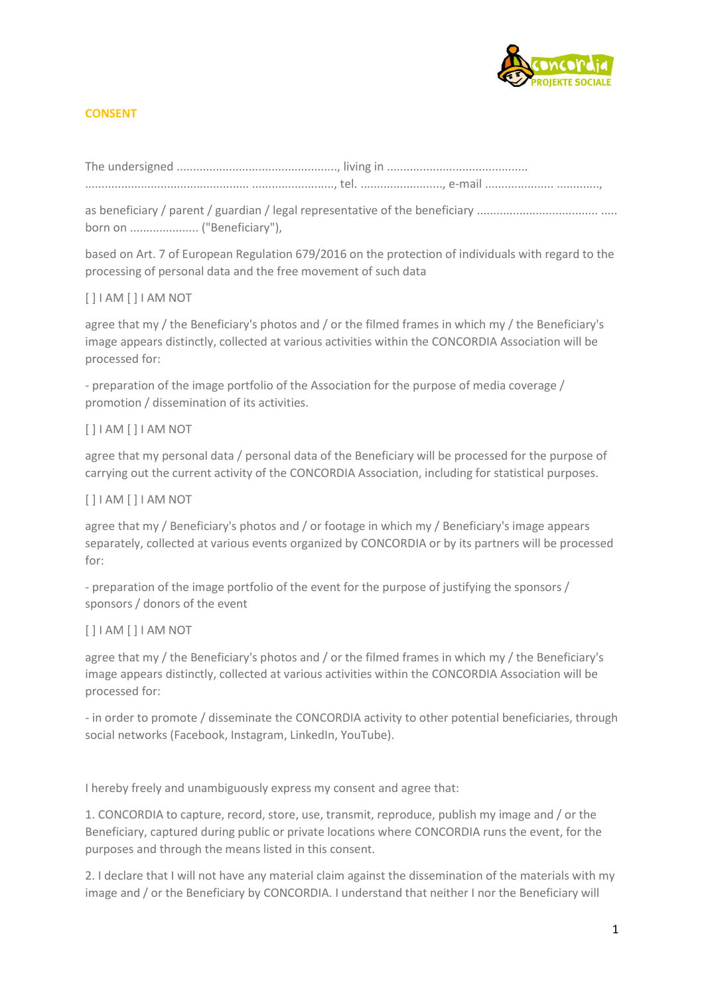

# **CONSENT**

The undersigned ................................................., living in ........................................... .................................................. ........................., tel. ........................., e-mail ..................... .............,

as beneficiary / parent / guardian / legal representative of the beneficiary ..................................... ..... born on ..................... ("Beneficiary"),

based on Art. 7 of European Regulation 679/2016 on the protection of individuals with regard to the processing of personal data and the free movement of such data

## [ ] I AM [ ] I AM NOT

agree that my / the Beneficiary's photos and / or the filmed frames in which my / the Beneficiary's image appears distinctly, collected at various activities within the CONCORDIA Association will be processed for:

- preparation of the image portfolio of the Association for the purpose of media coverage / promotion / dissemination of its activities.

## [ ] I AM [ ] I AM NOT

agree that my personal data / personal data of the Beneficiary will be processed for the purpose of carrying out the current activity of the CONCORDIA Association, including for statistical purposes.

### [ ] I AM [ ] I AM NOT

agree that my / Beneficiary's photos and / or footage in which my / Beneficiary's image appears separately, collected at various events organized by CONCORDIA or by its partners will be processed for:

- preparation of the image portfolio of the event for the purpose of justifying the sponsors / sponsors / donors of the event

### [ ] I AM [ ] I AM NOT

agree that my / the Beneficiary's photos and / or the filmed frames in which my / the Beneficiary's image appears distinctly, collected at various activities within the CONCORDIA Association will be processed for:

- in order to promote / disseminate the CONCORDIA activity to other potential beneficiaries, through social networks (Facebook, Instagram, LinkedIn, YouTube).

I hereby freely and unambiguously express my consent and agree that:

1. CONCORDIA to capture, record, store, use, transmit, reproduce, publish my image and / or the Beneficiary, captured during public or private locations where CONCORDIA runs the event, for the purposes and through the means listed in this consent.

2. I declare that I will not have any material claim against the dissemination of the materials with my image and / or the Beneficiary by CONCORDIA. I understand that neither I nor the Beneficiary will